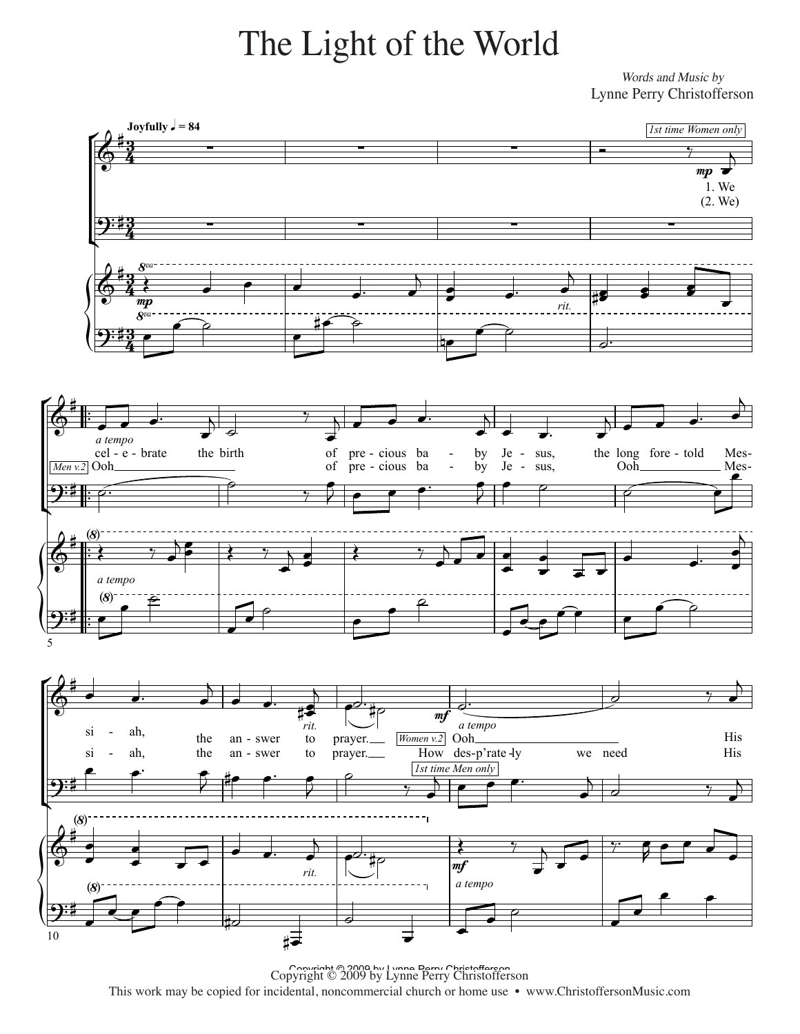## The Light of the World

Words and Music by Lynne Perry Christofferson



Copyright © 2009 by Lynne Perry Christofferson This work may be copied for incidental, noncommercial church or home use • www.ChristoffersonMusic.com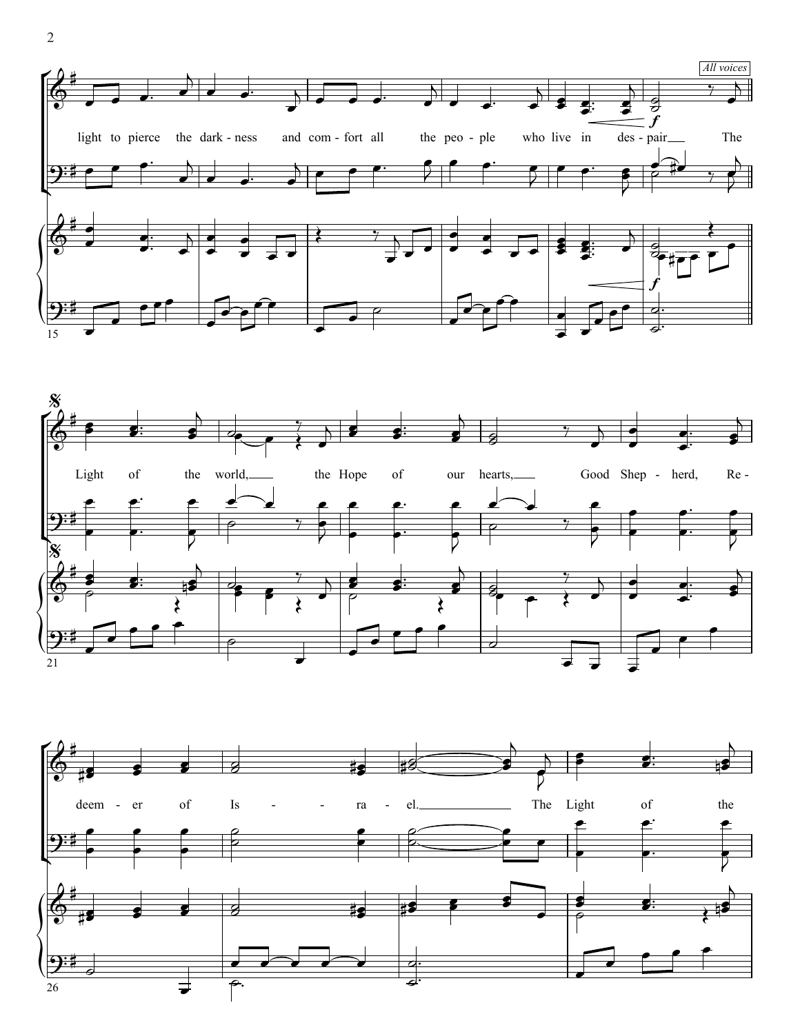



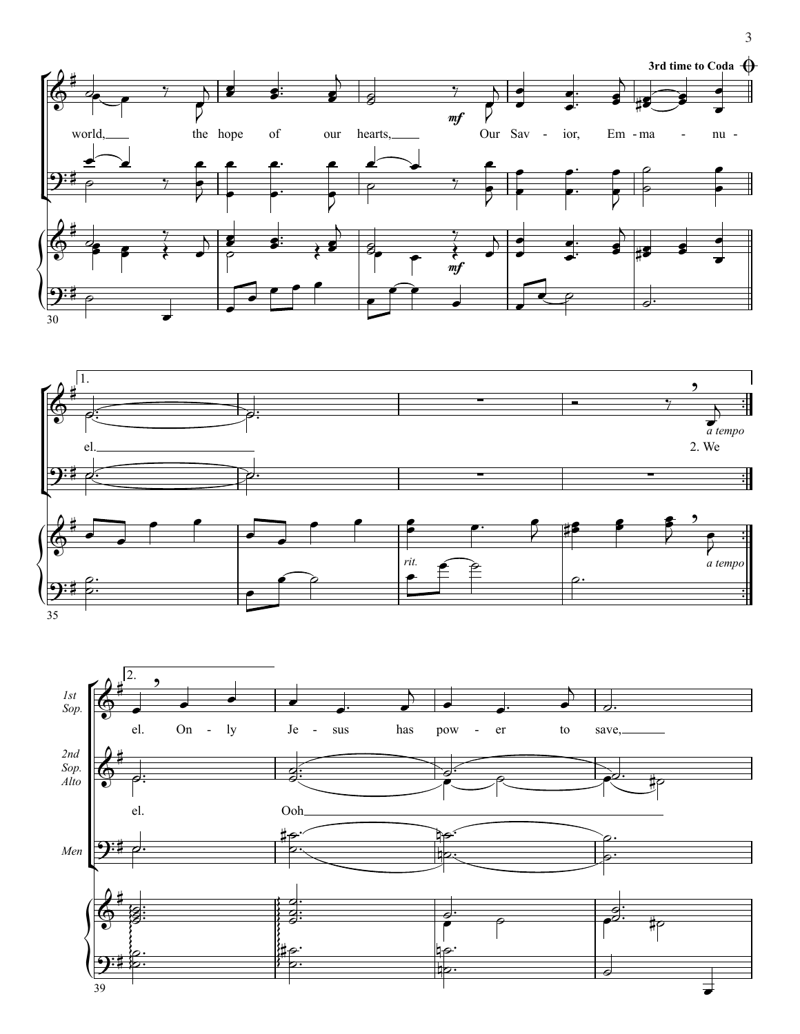

 $\overline{3}$